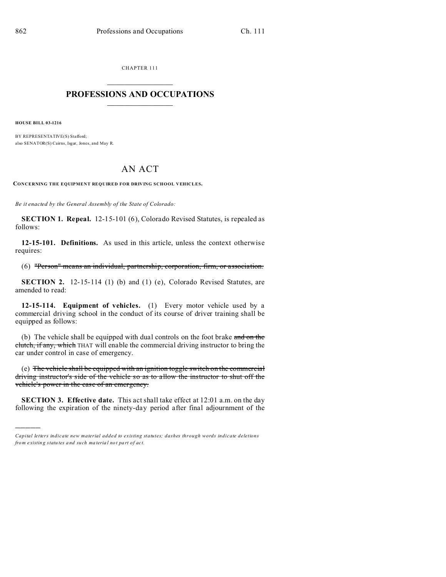CHAPTER 111  $\overline{\phantom{a}}$  , where  $\overline{\phantom{a}}$ 

## **PROFESSIONS AND OCCUPATIONS**  $\frac{1}{2}$  ,  $\frac{1}{2}$  ,  $\frac{1}{2}$  ,  $\frac{1}{2}$  ,  $\frac{1}{2}$  ,  $\frac{1}{2}$

**HOUSE BILL 03-1216**

)))))

BY REPRESENTATIVE(S) Stafford; also SENATOR(S) Cairns, Isgar, Jones, and May R.

## AN ACT

**CONCERNING THE EQUIPMENT REQUIRED FOR DRIVING SCHOOL VEHICLES.**

*Be it enacted by the General Assembly of the State of Colorado:*

**SECTION 1. Repeal.** 12-15-101 (6), Colorado Revised Statutes, is repealed as follows:

**12-15-101. Definitions.** As used in this article, unless the context otherwise requires:

(6) "Person" means an individual, partnership, corporation, firm, or association.

**SECTION 2.** 12-15-114 (1) (b) and (1) (e), Colorado Revised Statutes, are amended to read:

**12-15-114. Equipment of vehicles.** (1) Every motor vehicle used by a commercial driving school in the conduct of its course of driver training shall be equipped as follows:

(b) The vehicle shall be equipped with dual controls on the foot brake and on the clutch, if any, which THAT will enable the commercial driving instructor to bring the car under control in case of emergency.

(e) The vehicle shall be equipped with an ignition toggle switch on the commercial driving instructor's side of the vehicle so as to allow the instructor to shut off the vehicle's power in the case of an emergency.

**SECTION 3. Effective date.** This act shall take effect at 12:01 a.m. on the day following the expiration of the ninety-day period after final adjournment of the

*Capital letters indicate new material added to existing statutes; dashes through words indicate deletions from e xistin g statu tes a nd such ma teria l no t pa rt of ac t.*